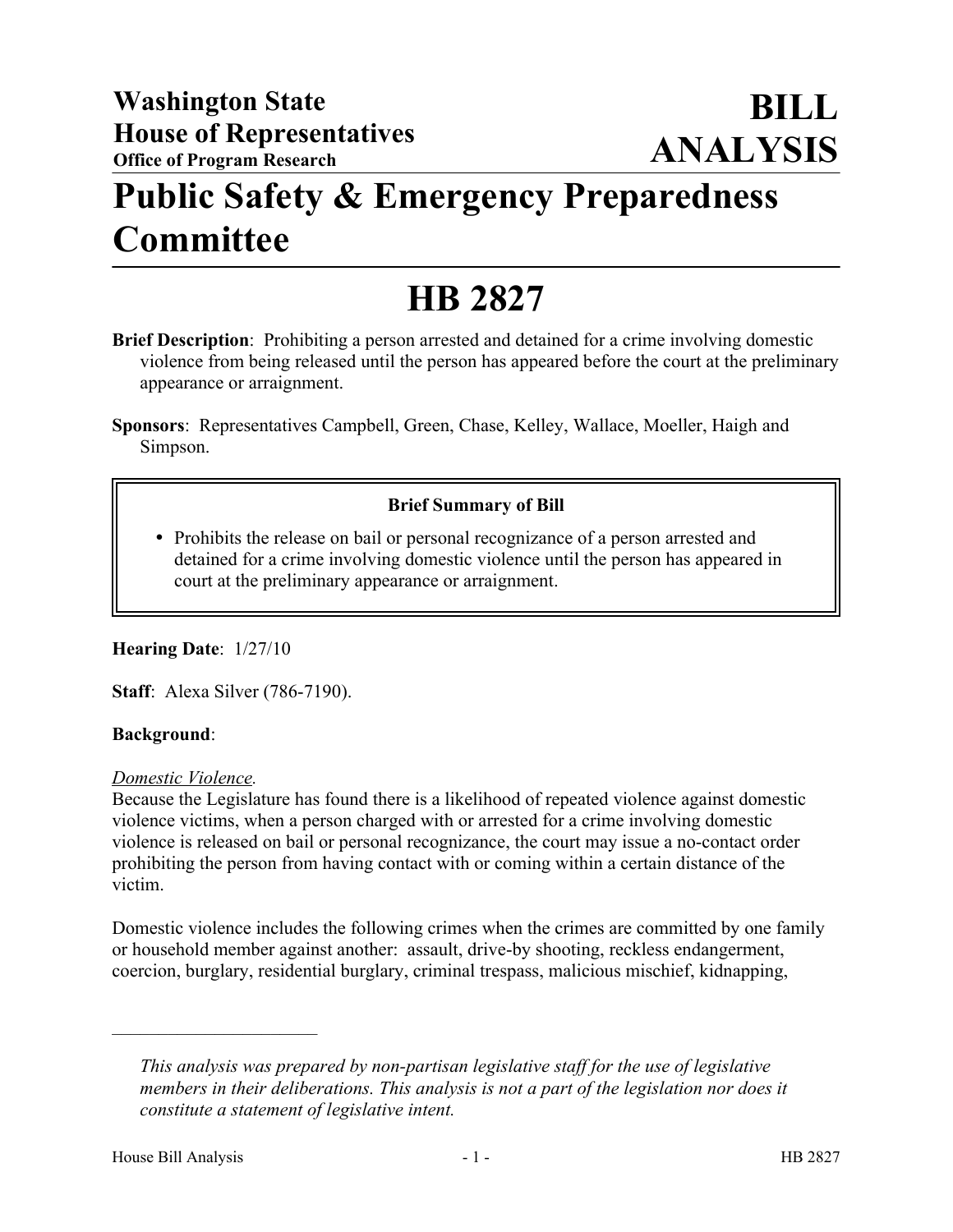## **Public Safety & Emergency Preparedness Committee**

# **HB 2827**

- **Brief Description**: Prohibiting a person arrested and detained for a crime involving domestic violence from being released until the person has appeared before the court at the preliminary appearance or arraignment.
- **Sponsors**: Representatives Campbell, Green, Chase, Kelley, Wallace, Moeller, Haigh and Simpson.

## **Brief Summary of Bill**

• Prohibits the release on bail or personal recognizance of a person arrested and detained for a crime involving domestic violence until the person has appeared in court at the preliminary appearance or arraignment.

## **Hearing Date**: 1/27/10

**Staff**: Alexa Silver (786-7190).

#### **Background**:

#### *Domestic Violence.*

Because the Legislature has found there is a likelihood of repeated violence against domestic violence victims, when a person charged with or arrested for a crime involving domestic violence is released on bail or personal recognizance, the court may issue a no-contact order prohibiting the person from having contact with or coming within a certain distance of the victim.

Domestic violence includes the following crimes when the crimes are committed by one family or household member against another: assault, drive-by shooting, reckless endangerment, coercion, burglary, residential burglary, criminal trespass, malicious mischief, kidnapping,

––––––––––––––––––––––

*This analysis was prepared by non-partisan legislative staff for the use of legislative members in their deliberations. This analysis is not a part of the legislation nor does it constitute a statement of legislative intent.*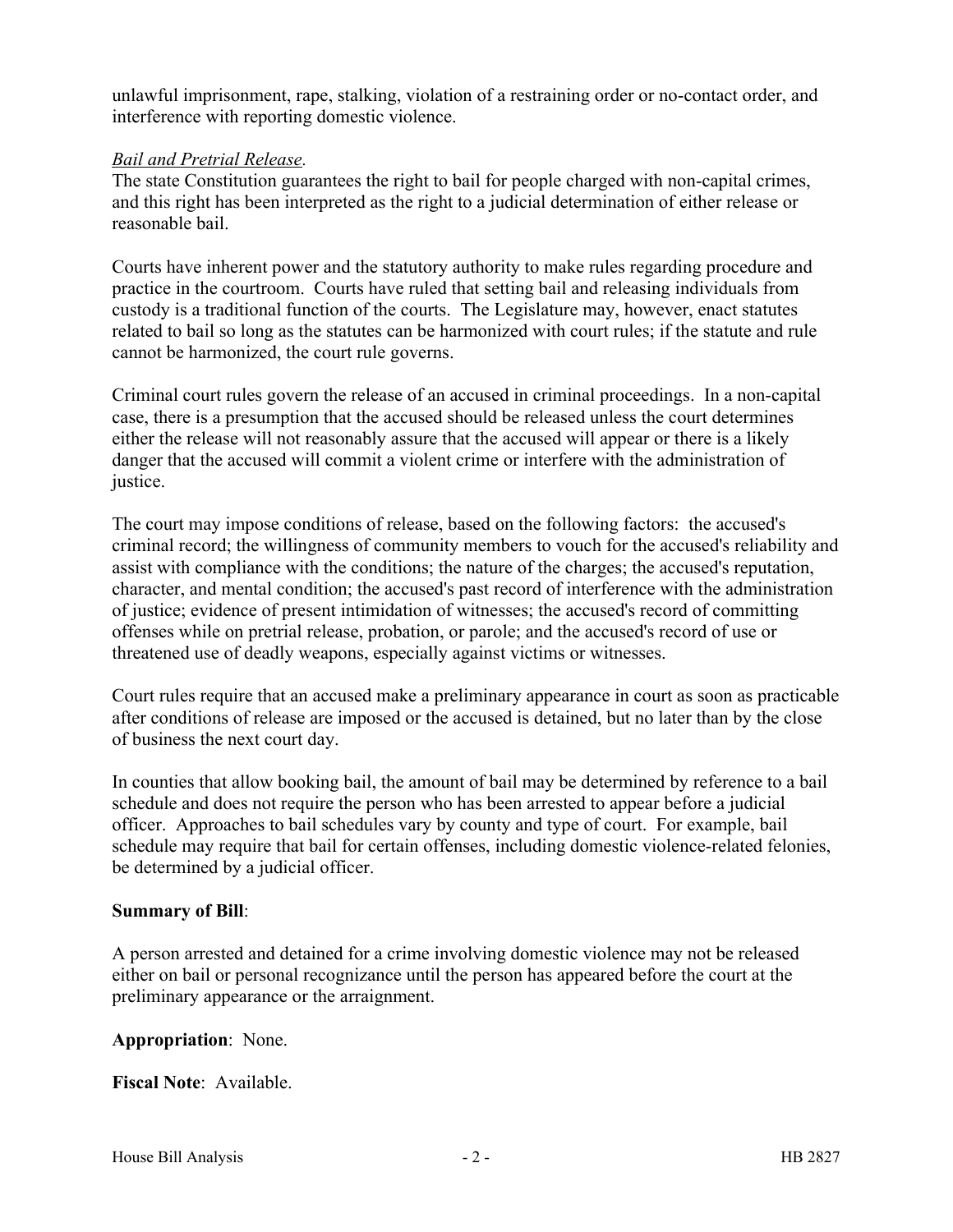unlawful imprisonment, rape, stalking, violation of a restraining order or no-contact order, and interference with reporting domestic violence.

### *Bail and Pretrial Release.*

The state Constitution guarantees the right to bail for people charged with non-capital crimes, and this right has been interpreted as the right to a judicial determination of either release or reasonable bail.

Courts have inherent power and the statutory authority to make rules regarding procedure and practice in the courtroom. Courts have ruled that setting bail and releasing individuals from custody is a traditional function of the courts. The Legislature may, however, enact statutes related to bail so long as the statutes can be harmonized with court rules; if the statute and rule cannot be harmonized, the court rule governs.

Criminal court rules govern the release of an accused in criminal proceedings. In a non-capital case, there is a presumption that the accused should be released unless the court determines either the release will not reasonably assure that the accused will appear or there is a likely danger that the accused will commit a violent crime or interfere with the administration of justice.

The court may impose conditions of release, based on the following factors: the accused's criminal record; the willingness of community members to vouch for the accused's reliability and assist with compliance with the conditions; the nature of the charges; the accused's reputation, character, and mental condition; the accused's past record of interference with the administration of justice; evidence of present intimidation of witnesses; the accused's record of committing offenses while on pretrial release, probation, or parole; and the accused's record of use or threatened use of deadly weapons, especially against victims or witnesses.

Court rules require that an accused make a preliminary appearance in court as soon as practicable after conditions of release are imposed or the accused is detained, but no later than by the close of business the next court day.

In counties that allow booking bail, the amount of bail may be determined by reference to a bail schedule and does not require the person who has been arrested to appear before a judicial officer. Approaches to bail schedules vary by county and type of court. For example, bail schedule may require that bail for certain offenses, including domestic violence-related felonies, be determined by a judicial officer.

## **Summary of Bill**:

A person arrested and detained for a crime involving domestic violence may not be released either on bail or personal recognizance until the person has appeared before the court at the preliminary appearance or the arraignment.

#### **Appropriation**: None.

**Fiscal Note**: Available.